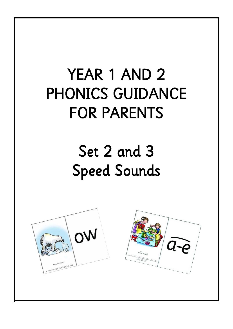# YEAR 1 AND 2 PHONICS GUIDANCE FOR PARENTS

# Set 2 and 3 Speed Sounds



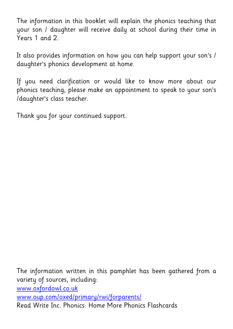The information in this booklet will explain the phonics teaching that your son / daughter will receive daily at school during their time in Years 1 and 2.

It also provides information on how you can help support your son's / daughter's phonics development at home.

If you need clarification or would like to know more about our phonics teaching, please make an appointment to speak to your son's /daughter's class teacher.

Thank you for your continued support.

The information written in this pamphlet has been gathered from a variety of sources, including: [www.oxfordowl.co.uk](http://www.oxfordowl.co.uk/) [www.oup.com/oxed/primary/rwi/forparents/](http://www.oup.com/oxed/primary/rwi/forparents/) Read Write Inc. Phonics: Home More Phonics Flashcards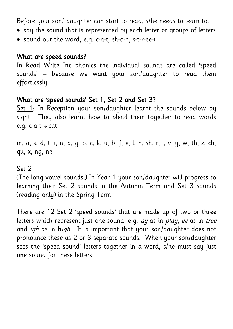Before your son/ daughter can start to read, s/he needs to learn to:

- say the sound that is represented by each letter or groups of letters
- sound out the word, e.g. c-a-t, sh-o-p, s-t-r-ee-t

#### What are speed sounds?

In Read Write Inc phonics the individual sounds are called 'speed sounds' – because we want your son/daughter to read them effortlessly.

#### What are 'speed sounds' Set 1, Set 2 and Set 3?

Set 1: In Reception your son/daughter learnt the sounds below by sight. They also learnt how to blend them together to read words e.g.  $c-a-t \rightarrow cat$ .

m, a, s, d, t, i, n, p, g, o, c, k, u, b, f, e, l, h, sh, r, j, v, y, w, th, z, ch, qu, x, ng, nk

#### Set 2

(The long vowel sounds.) In Year 1 your son/daughter will progress to learning their Set 2 sounds in the Autumn Term and Set 3 sounds (reading only) in the Spring Term.

There are 12 Set 2 'speed sounds' that are made up of two or three letters which represent just one sound, e.g. ay as in play, ee as in tree and *igh* as in high. It is important that your son/daughter does not pronounce these as 2 or 3 separate sounds. When your son/daughter sees the 'speed sound' letters together in a word, s/he must say just one sound for these letters.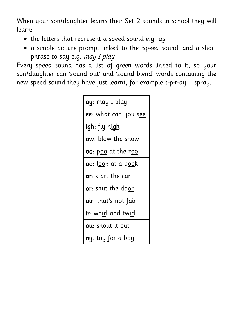When your son/daughter learns their Set 2 sounds in school they will learn:

- $\bullet$  the letters that represent a speed sound e.g.  $ay$
- a simple picture prompt linked to the 'speed sound' and a short phrase to say e.g. may I play

Every speed sound has a list of green words linked to it, so your son/daughter can 'sound out' and 'sound blend' words containing the new speed sound they have just learnt, for example s-p-r-ay  $\rightarrow$  spray.

| <b>ay</b> : m <u>ay</u> I pl <u>ay</u>     |
|--------------------------------------------|
| <b>ee</b> : what can you s <u>ee</u>       |
| <b>igh</b> : fly h <u>igh</u>              |
| ow: bl <u>ow</u> the snow                  |
| <b>00</b> : p <u>oo</u> at the z <u>oo</u> |
| <b>oo</b> : look at a book                 |
| <b>ar</b> : start the car                  |
| <b>or</b> : shut the door                  |
| air: that's not fair                       |
| <b>ir</b> : whirl and twirl                |
| <b>ou</b> : shout it out                   |
| <b>oy</b> : toy for a b <u>oy</u>          |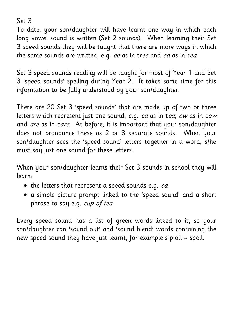Set 3

To date, your son/daughter will have learnt one way in which each long vowel sound is written (Set 2 sounds). When learning their Set 3 speed sounds they will be taught that there are more ways in which the same sounds are written, e.g. ee as in tree and ea as in tea.

Set 3 speed sounds reading will be taught for most of Year 1 and Set 3 'speed sounds' spelling during Year 2. It takes some time for this information to be fully understood by your son/daughter.

There are 20 Set 3 'speed sounds' that are made up of two or three letters which represent just one sound, e.g. ea as in tea, ow as in cow and *are* as in care. As before, it is important that your son/daughter does not pronounce these as 2 or 3 separate sounds. When your son/daughter sees the 'speed sound' letters together in a word, s/he must say just one sound for these letters.

When your son/daughter learns their Set 3 sounds in school they will learn:

- the letters that represent a speed sounds e.g. ea
- a simple picture prompt linked to the 'speed sound' and a short phrase to say e.g. cup of tea

Every speed sound has a list of green words linked to it, so your son/daughter can 'sound out' and 'sound blend' words containing the new speed sound they have just learnt, for example s-p-oil  $\rightarrow$  spoil.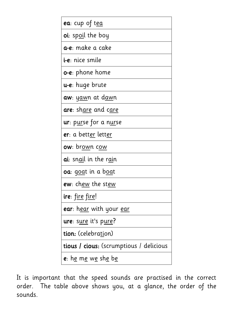

It is important that the speed sounds are practised in the correct order. The table above shows you, at a glance, the order of the sounds.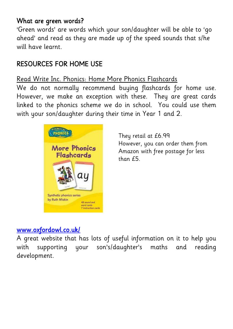## What are green words?

'Green words' are words which your son/daughter will be able to 'go ahead' and read as they are made up of the speed sounds that s/he will have learnt.

# RESOURCES FOR HOME USE

## Read Write Inc. Phonics: Home More Phonics Flashcards

We do not normally recommend buying flashcards for home use. However, we make an exception with these. They are great cards linked to the phonics scheme we do in school. You could use them with your son/daughter during their time in Year 1 and 2.



They retail at £6.99 However, you can order them from Amazon with free postage for less than £5.

# [www.oxfordowl.co.uk/](http://www.oxfordowl.co.uk/)

A great website that has lots of useful information on it to help you with supporting your son's/daughter's maths and reading development.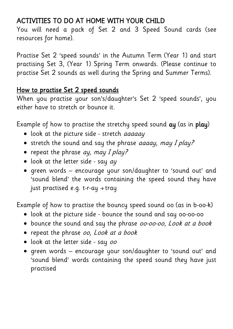## ACTIVITIES TO DO AT HOME WITH YOUR CHILD

You will need a pack of Set 2 and 3 Speed Sound cards (see resources for home).

Practise Set 2 'speed sounds' in the Autumn Term (Year 1) and start practising Set 3, (Year 1) Spring Term onwards. (Please continue to practise Set 2 sounds as well during the Spring and Summer Terms).

### How to practise Set 2 speed sounds

When you practise your son's/daughter's Set 2 'speed sounds', you either have to stretch or bounce it.

Example of how to practise the stretchy speed sound ay (as in play)

- look at the picture side stretch *aaaaay*
- stretch the sound and say the phrase *aaaay, may I play?*
- repeat the phrase  $ay$ , may I play?
- $\bullet$  look at the letter side say  $ay$
- green words encourage your son/daughter to 'sound out' and 'sound blend' the words containing the speed sound they have just practised e.g. t-r-ay  $\rightarrow$  tray

Example of how to practise the bouncy speed sound oo (as in b-oo-k)

- look at the picture side bounce the sound and say oo-oo-oo
- bounce the sound and say the phrase *00-00-00*, Look at a book
- repeat the phrase oo, Look at a book
- look at the letter side say oo
- green words encourage your son/daughter to 'sound out' and 'sound blend' words containing the speed sound they have just practised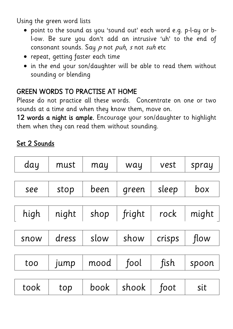Using the green word lists

- point to the sound as you 'sound out' each word e.g. p-l-ay or bl-ow. Be sure you don't add an intrusive 'uh' to the end of consonant sounds. Say  $p$  not  $puh$ ,  $s$  not  $sub$  etc
- repeat, getting faster each time
- in the end your son/daughter will be able to read them without sounding or blending

## GREEN WORDS TO PRACTISE AT HOME

Please do not practice all these words. Concentrate on one or two sounds at a time and when they know them, move on.

12 words a night is ample. Encourage your son/daughter to highlight them when they can read them without sounding.

# Set 2 Sounds

| day  | must  | may  | way    | vest   | spray |
|------|-------|------|--------|--------|-------|
|      |       |      |        |        |       |
| see  | stop  | been | green  | sleep  | box   |
|      |       |      |        |        |       |
| high | night | shop | fright | rock   | might |
|      |       |      |        |        |       |
| snow | dress | slow | show   | crisps | flow  |
|      |       |      |        |        |       |
| too  | jump  | mood | fool   | fish   | spoon |
|      |       |      |        |        |       |
| took | top   | book | shook  | foot   | sit   |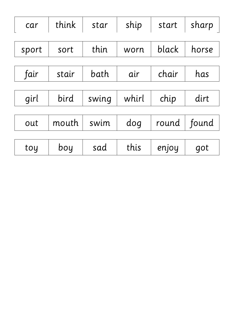| car   | think | star  | ship  | start | sharp |
|-------|-------|-------|-------|-------|-------|
|       |       |       |       |       |       |
| sport | sort  | thin  | worn  | black | horse |
|       |       |       |       |       |       |
| fair  | stair | bath  | air   | chair | has   |
|       |       |       |       |       |       |
| girl  | bird  | swing | whirl | chip  | dirt  |
|       |       |       |       |       |       |
| out   | mouth | swim  | dog   | round | found |
|       |       |       |       |       |       |
| toy   | boy   | sad   | this  | enjoy | got   |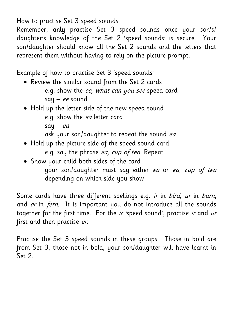How to practise Set 3 speed sounds

Remember, only practise Set 3 speed sounds once your son's/ daughter's knowledge of the Set 2 'speed sounds' is secure. Your son/daughter should know all the Set 2 sounds and the letters that represent them without having to rely on the picture prompt.

Example of how to practise Set 3 'speed sounds'

- Review the similar sound from the Set 2 cards e.g. show the ee, what can you see speed card say – ee sound
- Hold up the letter side of the new speed sound e.g. show the ea letter card say  $-ea$ 
	- ask your son/daughter to repeat the sound ea
- Hold up the picture side of the speed sound card e.g. say the phrase ea, cup of tea. Repeat
- Show your child both sides of the card your son/daughter must say either ea or ea, cup of tea depending on which side you show

Some cards have three different spellings e.g. ir in bird, ur in burn, and er in fern. It is important you do not introduce all the sounds together for the first time. For the ir 'speed sound', practise ir and ur first and then practise er.

Practise the Set 3 speed sounds in these groups. Those in bold are from Set 3, those not in bold, your son/daughter will have learnt in Set 2.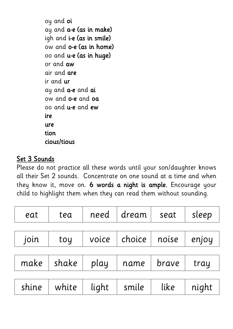oy and oi ay and a-e (as in make) igh and i-e (as in smile) ow and o-e (as in home) oo and u-e (as in huge) or and aw air and are ir and ur ay and a-e and ai ow and o-e and oa oo and u-e and ew ire ure tion cious/tious

## Set 3 Sounds

Please do not practice all these words until your son/daughter knows all their Set 2 sounds. Concentrate on one sound at a time and when they know it, move on. 6 words a night is ample. Encourage your child to highlight them when they can read them without sounding.

| eat   | tea   | need  | dream ' | seat  | sleep |
|-------|-------|-------|---------|-------|-------|
|       |       |       |         |       |       |
| join  | toy   | voice | choice  | noise | enjoy |
|       |       |       |         |       |       |
| make  | shake | play  | name    | brave | tray  |
|       |       |       |         |       |       |
| shine | white | light | smile   | like  | night |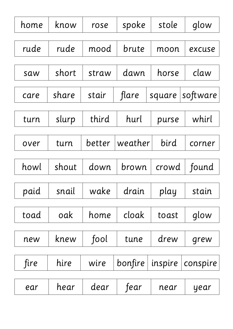| home | know  | rose   | spoke          | stole   | glow     |
|------|-------|--------|----------------|---------|----------|
| rude | rude  | mood   | brute          | moon    | excuse   |
| saw  | short | straw  | dawn           | horse   | claw     |
| care | share | stair  | flare          | square  | software |
| turn | slurp | third  | hurl<br>purse  |         | whirl    |
| over | turn  | better | weather        | bird    | corner   |
| howl | shout | down   | crowd<br>brown |         | found    |
|      |       |        |                |         |          |
| paid | snail | wake   | drain          | play    | stain    |
| toad | oak   | home   | cloak          | toast   | glow     |
| new  | knew  | fool   | tune           | drew    | grew     |
| fire | hire  | wire   | bonfire        | inspire | conspire |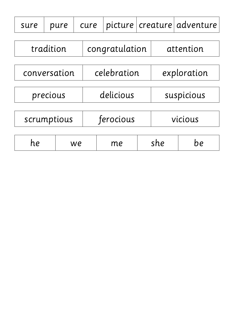| sure        |                                            | pure | cure |                | picture |     |            |    |  |
|-------------|--------------------------------------------|------|------|----------------|---------|-----|------------|----|--|
| tradition   |                                            |      |      | congratulation |         |     | attention  |    |  |
|             | celebration<br>exploration<br>conversation |      |      |                |         |     |            |    |  |
| precious    |                                            |      |      | delicious      |         |     | suspicious |    |  |
| scrumptious |                                            |      |      | ferocious      |         |     | vicious    |    |  |
| he          |                                            |      | we   |                | me      | she |            | he |  |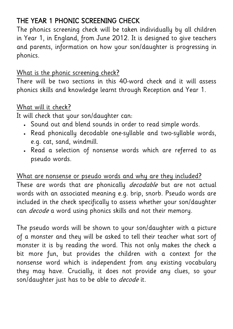# THE YEAR 1 PHONIC SCREENING CHECK

The phonics screening check will be taken individually by all children in Year 1, in England, from June 2012. It is designed to give teachers and parents, information on how your son/daughter is progressing in phonics.

## What is the phonic screening check?

There will be two sections in this 40-word check and it will assess phonics skills and knowledge learnt through Reception and Year 1.

## What will it check?

It will check that your son/daughter can:

- Sound out and blend sounds in order to read simple words.
- Read phonically [decodable](http://www.oxfordowl.co.uk/Question/Index/2#decodable) one-syllable and two-syllable words, e.g. cat, sand, windmill.
- Read a selection of nonsense words which are referred to as pseudo words.

[What are nonsense or pseudo words and why are they included?](http://www.oxfordowl.co.uk/Question/Index/9#section5) These are words that are phonically *[decodable](http://www.oxfordowl.co.uk/Question/Index/2#decodable)* but are not actual words with an associated meaning e.g. brip, snorb. Pseudo words are included in the check specifically to assess whether your son/daughter can *[decode](http://www.oxfordowl.co.uk/Question/Index/2#decodable)* a word using phonics skills and not their memory.

The pseudo words will be shown to your son/daughter with a picture of a monster and they will be asked to tell their teacher what sort of monster it is by reading the word. This not only makes the check a bit more fun, but provides the children with a context for the nonsense word which is independent from any existing vocabulary they may have. Crucially, it does not provide any clues, so your son/daughter just has to be able to *[decode](http://www.oxfordowl.co.uk/Question/Index/2#decodable)* it.